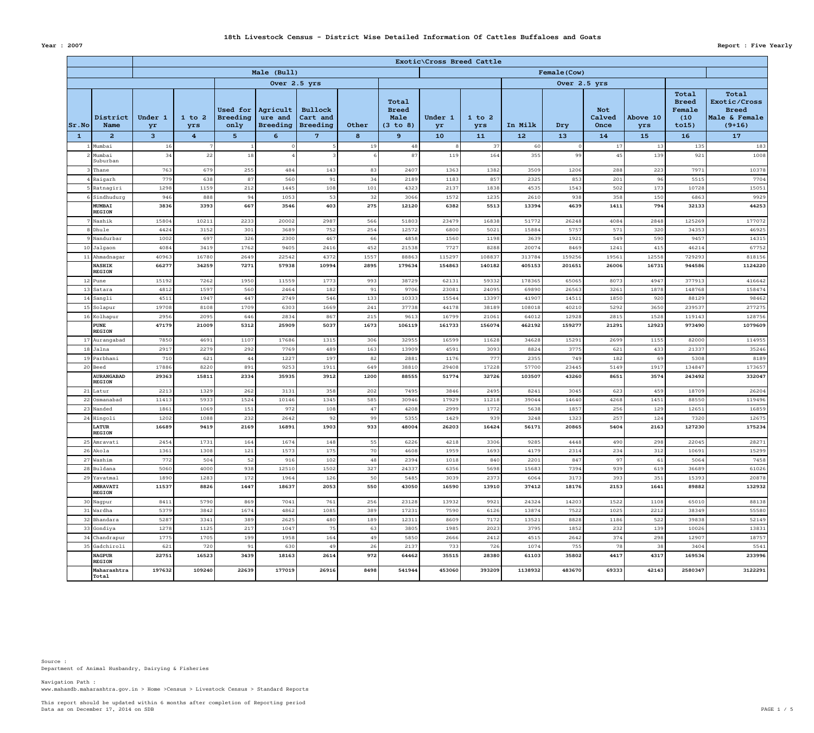Data as on December 17, 2014 on SDB PAGE  $1 / 5$ This report should be updated within 6 months after completion of Reporting period

www.mahasdb.maharashtra.gov.in > Home >Census > Livestock Census > Standard Reports Navigation Path :

|              |                                                       | Exotic\Cross Breed Cattle |                   |                                            |                                        |                                        |             |                                           |                 |                   |                 |                 |                              |                 |                                                   |                                                                    |  |
|--------------|-------------------------------------------------------|---------------------------|-------------------|--------------------------------------------|----------------------------------------|----------------------------------------|-------------|-------------------------------------------|-----------------|-------------------|-----------------|-----------------|------------------------------|-----------------|---------------------------------------------------|--------------------------------------------------------------------|--|
|              |                                                       |                           |                   |                                            | Male (Bull)                            |                                        |             |                                           | Female (Cow)    |                   |                 |                 |                              |                 |                                                   |                                                                    |  |
|              |                                                       |                           |                   |                                            |                                        | Over 2.5 yrs                           |             |                                           |                 |                   |                 |                 |                              |                 |                                                   |                                                                    |  |
| Sr.No        | District<br><b>Name</b>                               | Under 1<br>yr             | $1$ to $2$<br>yrs | <b>Used for</b><br><b>Breeding</b><br>only | Agricult<br>ure and<br><b>Breeding</b> | <b>Bullock</b><br>Cart and<br>Breeding | Other       | Total<br><b>Breed</b><br>Male<br>(3 to 8) | Under 1<br>yr   | $1$ to $2$<br>yrs | In Milk         | Dry             | <b>Not</b><br>Calved<br>Once | Above 10<br>yrs | Total<br><b>Breed</b><br>Female<br>(10)<br>to 15) | Total<br>Exotic/Cross<br><b>Breed</b><br>Male & Female<br>$(9+16)$ |  |
| $\mathbf{1}$ | $\mathbf{2}$                                          | 3 <sup>1</sup>            | $4^{\circ}$       | 5 <sub>1</sub>                             | $6 \overline{6}$                       | $7^{\circ}$                            | 8           | 9                                         | 10              | 11                | 12              | 13              | 14                           | 15              | 16                                                | 17                                                                 |  |
|              | Mumbai                                                | 16                        |                   |                                            |                                        |                                        | 19          | 48                                        |                 | 37                | 60              |                 | 17                           | 13              | 135                                               | 183                                                                |  |
|              | $2$ Mumbai<br>Suburban                                | 34                        | 22                | 18                                         |                                        |                                        |             | 87                                        | 119             | 164               | 355             | 99              | 45                           | 139             | 921                                               | 1008                                                               |  |
|              | 3 Thane                                               | 763                       | 679               | 255                                        | 484                                    | 143                                    | 83          | 2407                                      | 1363            | 1382              | 3509            | 1206            | 288                          | 223             | 7971                                              | 10378                                                              |  |
|              | $4 $ Raigarh                                          | 779                       | 638               | 87                                         | 560                                    | 91                                     | 34          | 2189                                      | 1183            | 857               | 2325            | 853             | 201                          | 96              | 5515                                              | 7704                                                               |  |
|              | 5 Ratnagiri                                           | 1298                      | 1159              | 212                                        | 1445                                   | 108                                    | 101         | 4323                                      | 2137            | 1838              | 4535            | 1543            | 502                          | 173             | 10728                                             | 15051                                                              |  |
|              | 6 Sindhudurg                                          | 946                       | 888               | 94                                         | 1053                                   | 53                                     | 32          | 3066                                      | 1572            | 1235              | 2610            | 938             | 358                          | 150             | 6863                                              | 9929                                                               |  |
|              | <b>MUMBAI</b><br><b>REGION</b>                        | 3836                      | 3393              | 667                                        | 3546                                   | 403                                    | 275         | 12120                                     | 6382            | 5513              | 13394           | 4639            | 1411                         | 794             | 32133                                             | 44253                                                              |  |
|              | 7 Nashik                                              | 15804                     | 10211             | 2233                                       | 20002                                  | 2987                                   | 566         | 51803                                     | 23479           | 16838             | 51772           | 26248           | 4084                         | 2848            | 125269                                            | 177072                                                             |  |
|              | 8 Dhule                                               | 4424                      | 3152              | 301<br>326                                 | 3689<br>2300                           | 752<br>467                             | 254         | 12572                                     | 6800            | 5021              | 15884<br>3639   | 5757            | 571                          | 320             | 34353                                             | 46925                                                              |  |
|              | 9 Nandurbar<br>$10$ Jalgaon                           | 1002<br>4084              | 697<br>3419       | 1762                                       | 9405                                   | 2416                                   | 66<br>452   | 4858<br>21538                             | 1560<br>7727    | 1198<br>8288      | 20074           | 1921<br>8469    | 549<br>1241                  | 590<br>415      | 9457<br>46214                                     | 14315<br>67752                                                     |  |
|              | $11$  Ahmadnagar                                      | 40963                     | 16780             | 2649                                       | 22542                                  | 4372                                   | 1557        | 88863                                     | 115297          | 108837            | 313784          | 159256          | 19561                        | 12558           | 729293                                            | 818156                                                             |  |
|              | <b>NASHIK</b>                                         | 66277                     | 34259             | 7271                                       | 57938                                  | 10994                                  | 2895        | 179634                                    | 154863          | 140182            | 405153          | 201651          | 26006                        | 16731           | 944586                                            | 1124220                                                            |  |
|              | <b>REGION</b>                                         |                           |                   |                                            |                                        |                                        |             |                                           |                 |                   |                 |                 |                              |                 |                                                   |                                                                    |  |
|              | $12$ Pune                                             | 15192                     | 7262              | 1950                                       | 11559                                  | 1773                                   | 993         | 38729                                     | 62131           | 59332             | 178365          | 65065           | 8073                         | 4947            | 377913                                            | 416642                                                             |  |
|              | $13$ Satara                                           | 4812                      | 1597              | 560                                        | 2464                                   | 182                                    | 91          | 9706                                      | 23081           | 24095             | 69890           | 26563           | 3261                         | 1878            | 148768                                            | 158474                                                             |  |
|              | $14$ Sangli                                           | 4511                      | 1947              | 447                                        | 2749                                   | 546                                    | 133         | 10333                                     | 15544           | 13397             | 41907           | 14511           | 1850                         | 920             | 88129                                             | 98462                                                              |  |
|              | $15$ Solapur                                          | 19708                     | 8108              | 1709                                       | 6303                                   | 1669                                   | 241         | 37738                                     | 44178           | 38189             | 108018          | 40210           | 5292                         | 3650            | 239537                                            | 277275                                                             |  |
|              | 16 Kolhapur<br><b>PUNE</b>                            | 2956<br>47179             | 2095<br>21009     | 646<br>5312                                | 2834<br>25909                          | 867<br>5037                            | 215<br>1673 | 9613<br>106119                            | 16799<br>161733 | 21061<br>156074   | 64012<br>462192 | 12928<br>159277 | 2815<br>21291                | 1528<br>12923   | 119143<br>973490                                  | 128756<br>1079609                                                  |  |
|              | <b>REGION</b>                                         |                           |                   |                                            |                                        |                                        |             |                                           |                 |                   |                 |                 |                              |                 |                                                   |                                                                    |  |
|              | 17 Aurangabad<br>$18$ Jalna                           | 7850<br>2917              | 4691<br>2279      | 1107<br>292                                | 17686<br>7769                          | 1315<br>489                            | 306         | 32955<br>13909                            | 16599<br>4591   | 11628<br>3093     | 34628<br>8824   | 15291<br>3775   | 2699<br>621                  | 1155<br>433     | 82000<br>21337                                    | 114955<br>35246                                                    |  |
|              | 19 Parbhani                                           | 710                       | 621               | 44                                         | 1227                                   | 197                                    | 163<br>82   | 2881                                      | 1176            | 777               | 2355            | 749             | 182                          | 69              | 5308                                              | 8189                                                               |  |
|              | $20$ Beed                                             | 17886                     | 8220              | 891                                        | 9253                                   | 1911                                   | 649         | 38810                                     | 29408           | 17228             | 57700           | 23445           | 5149                         | 1917            | 134847                                            | 173657                                                             |  |
|              | <b>AURANGABAD</b>                                     | 29363                     | 15811             | 2334                                       | 35935                                  | 3912                                   | 1200        | 88555                                     | 51774           | 32726             | 103507          | 43260           | 8651                         | 3574            | 243492                                            | 332047                                                             |  |
|              | <b>REGION</b>                                         |                           |                   |                                            |                                        |                                        |             |                                           |                 |                   |                 |                 |                              |                 |                                                   |                                                                    |  |
|              | $21$ Latur                                            | 2213                      | 1329              | 262                                        | 3131                                   | 358                                    | 202         | 7495                                      | 3846            | 2495              | 8241            | 3045            | 623                          | 459             | 18709                                             | 26204                                                              |  |
|              | 22 Osmanabad                                          | 11413                     | 5933              | 1524                                       | 10146                                  | 1345                                   | 585         | 30946                                     | 17929           | 11218             | 39044           | 14640           | 4268                         | 1451            | 88550                                             | 119496                                                             |  |
|              | 23 Nanded<br>$24$ Hingoli                             | 1861<br>1202              | 1069<br>1088      | 151<br>232                                 | 972<br>2642                            | 108<br>92                              | 47<br>99    | 4208<br>5355                              | 2999<br>1429    | 1772<br>939       | 5638<br>3248    | 1857<br>1323    | 256<br>257                   | 129<br>124      | 12651<br>7320                                     | 16859<br>12675                                                     |  |
|              | <b>LATUR</b><br><b>REGION</b>                         | 16689                     | 9419              | 2169                                       | 16891                                  | 1903                                   | 933         | 48004                                     | 26203           | 16424             | 56171           | 20865           | 5404                         | 2163            | 127230                                            | 175234                                                             |  |
|              | 25 Amravati                                           | 2454                      | 1731              | 164                                        | 1674                                   | 148                                    | 55          | 6226                                      | 4218            | 3306              | 9285            | 4448            | 490                          | 298             | 22045                                             | 28271                                                              |  |
|              | $26$ Akola                                            | 1361                      | 1308              | 121                                        | 1573                                   | 175                                    | 70          | 4608                                      | 1959            | 1693              | 4179            | 2314            | 234                          | 312             | 10691                                             | 15299                                                              |  |
|              | $27$ Washim                                           | 772                       | 504               | 52                                         | 916                                    | 102                                    | 48          | 2394                                      | 1018            | 840               | 2201            | 847             | 97                           | 61              | 5064                                              | 7458                                                               |  |
|              | $28$ Buldana                                          | 5060                      | 4000              | 938                                        | 12510                                  | 1502                                   | 327         | 24337                                     | 6356            | 5698              | 15683           | 7394            | 939                          | 619             | 36689                                             | 61026                                                              |  |
|              | $29$ Yavatmal                                         | 1890                      | 1283              | 172                                        | 1964                                   | 126                                    | 50          | 5485                                      | 3039            | 2373              | 6064            | 3173            | 393                          | 351             | 15393                                             | 20878                                                              |  |
|              | <b>AMRAVATI</b><br><b>REGION</b>                      | 11537                     | 8826              | 1447                                       | 18637                                  | 2053                                   | 550         | 43050                                     | 16590           | 13910             | 37412           | 18176           | 2153                         | 1641            | 89882                                             | 132932                                                             |  |
|              | 30 Nagpur                                             | 8411                      | 5790              | 869                                        | 7041                                   | 761                                    | 256         | 23128                                     | 13932           | 9921              | 24324           | 14203           | 1522                         | 1108            | 65010                                             | 88138                                                              |  |
|              | 31 Wardha                                             | 5379                      | 3842              | 1674                                       | 4862                                   | 1085                                   | 389         | 17231                                     | 7590            | 6126              | 13874           | 7522            | 1025                         | 2212            | 38349                                             | 55580                                                              |  |
|              | 32 Bhandara                                           | 5287                      | 3341              | 389                                        | 2625                                   | 480                                    | 189         | 12311                                     | 8609            | 7172              | 13521           | 8828            | 1186                         | 522             | 39838                                             | 52149                                                              |  |
|              | 33 Gondiya                                            | 1278                      | 1125              | 217                                        | 1047                                   | 75                                     | 63          | 3805                                      | 1985            | 2023              | 3795            | 1852            | 232                          | 139             | 10026                                             | 13831                                                              |  |
|              | 34 Chandrapur<br>35 Gadchiroli                        | 1775<br>621               | 1705<br>720       | 199<br>91                                  | 1958<br>630                            | 164<br>49                              | 49<br>26    | 5850<br>2137                              | 2666<br>733     | 2412<br>726       | 4515<br>1074    | 2642<br>755     | 374<br>78                    | 298<br>38       | 12907<br>3404                                     | 18757<br>5541                                                      |  |
|              | <b>NAGPUR</b>                                         | 22751                     | 16523             | 3439                                       | 18163                                  | 2614                                   | 972         | 64462                                     | 35515           | 28380             | 61103           | 35802           | 4417                         | 4317            | 169534                                            | 233996                                                             |  |
|              | <b>REGION</b><br>Maharashtra<br>$  \text{\tt Total} $ | 197632                    | 109240            | 22639                                      | 177019                                 | 26916                                  | 8498        | 541944                                    | 453060          | 393209            | 1138932         | 483670          | 69333                        | 42143           | 2580347                                           | 3122291                                                            |  |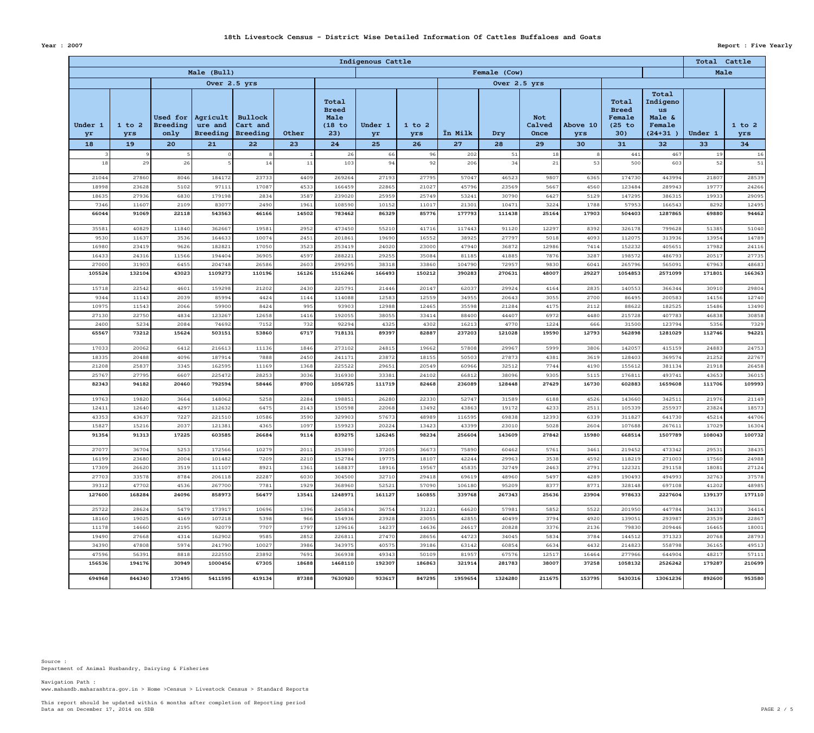Data as on December 17, 2014 on SDB PAGE 2  $/$  5 This report should be updated within 6 months after completion of Reporting period

www.mahasdb.maharashtra.gov.in > Home >Census > Livestock Census > Standard Reports Navigation Path :

|                     |                         |                                                  |                                              |                                                     |               |                                                      | Indigenous Cattle   |                         |                      |                 |                                    |                       |                                                          |                                                                  |                 | Total Cattle            |  |  |
|---------------------|-------------------------|--------------------------------------------------|----------------------------------------------|-----------------------------------------------------|---------------|------------------------------------------------------|---------------------|-------------------------|----------------------|-----------------|------------------------------------|-----------------------|----------------------------------------------------------|------------------------------------------------------------------|-----------------|-------------------------|--|--|
|                     |                         |                                                  | Male (Bull)                                  |                                                     |               |                                                      | Female (Cow)        |                         |                      |                 |                                    |                       |                                                          |                                                                  |                 | Male                    |  |  |
|                     |                         |                                                  |                                              | Over 2.5 yrs                                        |               |                                                      |                     |                         |                      | Over 2.5 yrs    |                                    |                       |                                                          |                                                                  |                 |                         |  |  |
| Under 1<br>yr<br>18 | $1$ to $2$<br>yrs<br>19 | <b>Used for</b><br><b>Breeding</b><br>only<br>20 | Agricult<br>ure and<br><b>Breeding</b><br>21 | <b>Bullock</b><br>Cart and<br><b>Breeding</b><br>22 | Other<br>23   | Total<br><b>Breed</b><br>Male<br>(18 to<br>23)<br>24 | Under 1<br>yr<br>25 | $1$ to $2$<br>yrs<br>26 | <b>Ïn Milk</b><br>27 | Dry<br>28       | <b>Not</b><br>Calved<br>Once<br>29 | Above 10<br>yrs<br>30 | Total<br><b>Breed</b><br>Female<br>$(25$ to<br>30)<br>31 | Total<br>Indigeno<br>us<br>Male &<br>Female<br>$(24 + 31)$<br>32 | Under 1<br>33   | $1$ to $2$<br>yrs<br>34 |  |  |
|                     |                         |                                                  |                                              |                                                     |               | 26                                                   | 66                  | 96                      | 202                  | 51              | 18                                 |                       | 441                                                      | 467                                                              | 19              | 16                      |  |  |
| 18                  | 29                      | 26                                               |                                              | 14                                                  | 11            | 103                                                  | 94                  | 92                      | 206                  | 34              | 21                                 | 53                    | 500                                                      | 603                                                              | 52              | 51                      |  |  |
| 21044               | 27860                   | 8046                                             | 184172                                       | 23733                                               | 4409          | 269264                                               | 27193               | 27795                   | 57047                | 46523           | 9807                               | 6365                  | 174730                                                   | 443994                                                           | 21807           | 28539                   |  |  |
| 18998               | 23628                   | 5102                                             | 97111                                        | 17087                                               | 4533          | 166459                                               | 22865               | 21027                   | 45796                | 23569           | 5667                               | 4560                  | 123484                                                   | 289943                                                           | 19777           | 24266                   |  |  |
| 18635               | 27936                   | 6830                                             | 179198                                       | 2834                                                | 3587          | 239020                                               | 25959               | 25749                   | 53241                | 30790           | 6427                               | 5129                  | 147295                                                   | 386315                                                           | 19933           | 29095                   |  |  |
| 7346<br>66044       | 11607<br>91069          | 2109<br>22118                                    | 83077<br>543563                              | 2490<br>46166                                       | 1961<br>14502 | 108590<br>783462                                     | 10152<br>86329      | 11017<br>85776          | 21301<br>177793      | 10471<br>111438 | 3224<br>25164                      | 1788<br>17903         | 57953<br>504403                                          | 166543<br>1287865                                                | 8292<br>69880   | 12495<br>94462          |  |  |
| 35581               | 40829                   | 11840                                            | 362667                                       | 19581                                               | 2952          | 473450                                               | 55210               | 41716                   | 117443               | 91120           | 12297                              | 8392                  | 326178                                                   | 799628                                                           | 51385           | 51040                   |  |  |
| 9530                | 11637                   | 3536                                             | 164633                                       | 10074                                               | 2451          | 201861                                               | 19690               | 16552                   | 38925                | 27797           | 5018                               | 4093                  | 112075                                                   | 313936                                                           | 13954           | 14789                   |  |  |
| 16980               | 23419                   | 9626                                             | 182821                                       | 17050                                               | 3523          | 253419                                               | 24020               | 23000                   | 47940                | 36872           | 12986                              | 7414                  | 152232                                                   | 405651                                                           | 17982           | 24116                   |  |  |
| 16433               | 24316                   | 11566                                            | 194404                                       | 36905                                               | 4597          | 288221                                               | 29255               | 35084                   | 81185                | 41885           | 7876                               | 3287                  | 198572                                                   | 486793                                                           | 20517           | 27735                   |  |  |
| 27000               | 31903                   | 6455                                             | 204748                                       | 26586                                               | 2603          | 299295                                               | 38318               | 33860                   | 104790               | 72957           | 9830                               | 6041                  | 265796                                                   | 565091                                                           | 67963           | 48683                   |  |  |
| 105524              | 132104                  | 43023                                            | 1109273                                      | 110196                                              | 16126         | 1516246                                              | 166493              | 150212                  | 390283               | 270631          | 48007                              | 29227                 | 1054853                                                  | 2571099                                                          | 171801          | 166363                  |  |  |
| 15718               | 22542                   | 4601                                             | 159298                                       | 21202                                               | 2430          | 225791                                               | 21446               | 20147                   | 62037                | 29924           | 4164                               | 2835                  | 140553                                                   | 366344                                                           | 30910           | 29804                   |  |  |
| 9344                | 11143                   | 2039                                             | 85994                                        | 4424                                                | 1144          | 114088                                               | 12583               | 12559                   | 34955                | 20643           | 3055                               | 2700                  | 86495                                                    | 200583                                                           | 14156           | 12740                   |  |  |
| 10975<br>27130      | 11543<br>22750          | 2066<br>4834                                     | 59900<br>123267                              | 8424<br>12658                                       | 995<br>1416   | 93903<br>192055                                      | 12988<br>38055      | 12465<br>33414          | 35598<br>88400       | 21284<br>44407  | 4175<br>6972                       | 2112<br>4480          | 88622<br>215728                                          | 182525<br>407783                                                 | 15486<br>46838  | 13490<br>30858          |  |  |
| 2400                | 5234                    | 2084                                             | 74692                                        | 7152                                                | 732           | 92294                                                | 4325                | 4302                    | 16213                | 4770            | 1224                               | 666                   | 31500                                                    | 123794                                                           | 5356            | 7329                    |  |  |
| 65567               | 73212                   | 15624                                            | 503151                                       | 53860                                               | 6717          | 718131                                               | 89397               | 82887                   | 237203               | 121028          | 19590                              | 12793                 | 562898                                                   | 1281029                                                          | 112746          | 94221                   |  |  |
| 17033               | 20062                   | 6412                                             | 216613                                       | 11136                                               | 1846          | 273102                                               | 24815               | 19662                   | 57808                | 29967           | 5999                               | 3806                  | 142057                                                   | 415159                                                           | 24883           | 24753                   |  |  |
| 18335               | 20488                   | 4096                                             | 187914                                       | 7888                                                | 2450          | 241171                                               | 23872               | 18155                   | 50503                | 27873           | 4381                               | 3619                  | 128403                                                   | 369574                                                           | 21252           | 22767                   |  |  |
| 21208               | 25837                   | 3345                                             | 162595                                       | 11169                                               | 1368          | 225522                                               | 29651               | 20549                   | 60966                | 32512           | 7744                               | 4190                  | 155612                                                   | 381134                                                           | 21918           | 26458                   |  |  |
| 25767               | 27795                   | 6607                                             | 225472                                       | 28253                                               | 3036<br>8700  | 316930                                               | 33381               | 24102                   | 66812                | 38096           | 9305                               | 5115                  | 176811                                                   | 493741                                                           | 43653           | 36015                   |  |  |
| 82343               | 94182                   | 20460                                            | 792594                                       | 58446                                               |               | 1056725                                              | 111719              | 82468                   | 236089               | 128448          | 27429                              | 16730                 | 602883                                                   | 1659608                                                          | 111706          | 109993                  |  |  |
| 19763               | 19820                   | 3664                                             | 148062                                       | 5258                                                | 2284          | 198851                                               | 26280               | 22330                   | 52747                | 31589           | 6188                               | 4526                  | 143660                                                   | 342511                                                           | 21976           | 21149                   |  |  |
| 12411<br>43353      | 12640<br>43637          | 4297<br>7227                                     | 112632<br>221510                             | 6475<br>10586                                       | 2143<br>3590  | 150598<br>329903                                     | 22068<br>57673      | 13492<br>48989          | 43863<br>116595      | 19172<br>69838  | 4233<br>12393                      | 2511<br>6339          | 105339<br>311827                                         | 255937<br>641730                                                 | 23824<br>45214  | 18573<br>44706          |  |  |
| 15827               | 15216                   | 2037                                             | 121381                                       | 4365                                                | 1097          | 159923                                               | 20224               | 13423                   | 43399                | 23010           | 5028                               | 2604                  | 107688                                                   | 267611                                                           | 17029           | 16304                   |  |  |
| 91354               | 91313                   | 17225                                            | 603585                                       | 26684                                               | 9114          | 839275                                               | 126245              | 98234                   | 256604               | 143609          | 27842                              | 15980                 | 668514                                                   | 1507789                                                          | 108043          | 100732                  |  |  |
| 27077               | 36704                   | 5253                                             | 172566                                       | 10279                                               | 2011          | 253890                                               | 37205               | 36673                   | 75890                | 60462           | 5761                               | 3461                  | 219452                                                   | 473342                                                           | 29531           | 38435                   |  |  |
| 16199               | 23680                   | 2004                                             | 101482                                       | 7209                                                | 2210          | 152784                                               | 19775               | 18107                   | 42244                | 29963           | 3538                               | 4592                  | 118219                                                   | 271003                                                           | 17560           | 24988                   |  |  |
| 17309               | 26620                   | 3519                                             | 111107                                       | 8921                                                | 1361          | 168837                                               | 18916               | 19567                   | 45835                | 32749           | 2463                               | 2791                  | 122321                                                   | 291158                                                           | 18081           | 27124                   |  |  |
| 27703               | 33578                   | 8784                                             | 206118                                       | 22287                                               | 6030<br>1929  | 304500                                               | 32710               | 29418                   | 69619                | 48960           | 5497<br>8377                       | 4289                  | 190493                                                   | 494993                                                           | 32763           | 37578<br>48985          |  |  |
| 39312<br>127600     | 47702<br>168284         | 4536<br>24096                                    | 267700<br>858973                             | 7781<br>56477                                       | 13541         | 368960<br>1248971                                    | 52521<br>161127     | 57090<br>160855         | 106180<br>339768     | 95209<br>267343 | 25636                              | 8771<br>23904         | 328148<br>978633                                         | 697108<br>2227604                                                | 41202<br>139137 | 177110                  |  |  |
|                     |                         |                                                  |                                              |                                                     |               |                                                      |                     |                         |                      |                 |                                    |                       |                                                          |                                                                  |                 |                         |  |  |
| 25722               | 28624                   | 5479                                             | 173917                                       | 10696                                               | 1396          | 245834                                               | 36754               | 31221                   | 64620                | 57981           | 5852                               | 5522                  | 201950                                                   | 447784                                                           | 34133           | 34414                   |  |  |
| 18160<br>11178      | 19025<br>14660          | 4169<br>2195                                     | 107218<br>92079                              | 5398<br>7707                                        | 966<br>1797   | 154936<br>129616                                     | 23928<br>14237      | 23055<br>14636          | 42855<br>24617       | 40499<br>20828  | 3794<br>3376                       | 4920<br>2136          | 139051<br>79830                                          | 293987<br>209446                                                 | 23539<br>16465  | 22867<br>18001          |  |  |
| 19490               | 27668                   | 4314                                             | 162902                                       | 9585                                                | 2852          | 226811                                               | 27470               | 28656                   | 44723                | 34045           | 5834                               | 3784                  | 144512                                                   | 371323                                                           | 20768           | 28793                   |  |  |
| 34390               | 47808                   | 5974                                             | 241790                                       | 10027                                               | 3986          | 343975                                               | 40575               | 39186                   | 63142                | 60854           | 6634                               | 4432                  | 214823                                                   | 558798                                                           | 36165           | 49513                   |  |  |
| 47596               | 56391                   | 8818                                             | 222550                                       | 23892                                               | 7691          | 366938                                               | 49343               | 50109                   | 81957                | 67576           | 12517                              | 16464                 | 277966                                                   | 644904                                                           | 48217           | 57111                   |  |  |
| 156536              | 194176                  | 30949                                            | 1000456                                      | 67305                                               | 18688         | 1468110                                              | 192307              | 186863                  | 321914               | 281783          | 38007                              | 37258                 | 1058132                                                  | 2526242                                                          | 179287          | 210699                  |  |  |
| 694968              | 844340                  | 173495                                           | 5411595                                      | 419134                                              | 87388         | 7630920                                              | 933617              | 847295                  | 1959654              | 1324280         | 211675                             | 153795                | 5430316                                                  | 13061236                                                         | 892600          | 953580                  |  |  |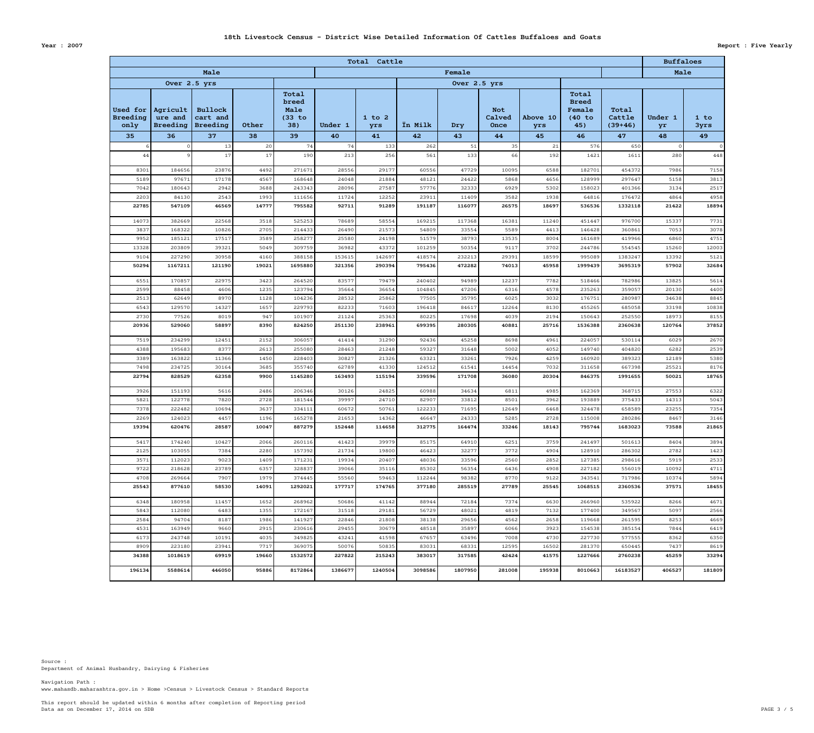Data as on December 17, 2014 on SDB PAGE 3  $/$  5 This report should be updated within 6 months after completion of Reporting period

www.mahasdb.maharashtra.gov.in > Home >Census > Livestock Census > Standard Reports Navigation Path :

| <b>Year : 2007</b> | <b>Report : Five Yearly</b> |
|--------------------|-----------------------------|
|                    |                             |

|                                     |                                          |                                               |                |                                         |                   | Total Cattle      |                   |                   |                              |                 |                                                  |                              | <b>Buffaloes</b> |                 |
|-------------------------------------|------------------------------------------|-----------------------------------------------|----------------|-----------------------------------------|-------------------|-------------------|-------------------|-------------------|------------------------------|-----------------|--------------------------------------------------|------------------------------|------------------|-----------------|
|                                     |                                          | Male                                          |                |                                         |                   | Male              |                   |                   |                              |                 |                                                  |                              |                  |                 |
|                                     | Over 2.5 yrs                             |                                               |                |                                         |                   |                   |                   | Over 2.5 yrs      |                              |                 |                                                  |                              |                  |                 |
| Used for<br><b>Breeding</b><br>only | Agricult  <br>ure and<br><b>Breeding</b> | <b>Bullock</b><br>cart and<br><b>Breeding</b> | Other          | Total<br>breed<br>Male<br>(33 to<br>38) | Under 1           | $1$ to $2$<br>yrs | <b>Ïn Milk</b>    | Dry               | <b>Not</b><br>Calved<br>Once | Above 10<br>yrs | Total<br><b>Breed</b><br>Female<br>(40 to<br>45) | Total<br>Cattle<br>$(39+46)$ | Under 1<br>yr    | 1 to<br>3yrs    |
| 35                                  | 36                                       | 37                                            | 38             | 39                                      | 40                | 41                | 42                | 43                | 44                           | 45              | 46                                               | 47                           | 48               | 49              |
|                                     |                                          | 13                                            | 20             | 74                                      | 74                | 133               | 262               | 51                | 35                           | 21              | 576                                              | 650                          |                  | $\overline{O}$  |
| 44                                  |                                          | 17                                            | 17             | 190                                     | 213               | 256               | 561               | 133               | 66                           | 192             | 1421                                             | 1611                         | 280              | 448             |
| 8301                                | 184656                                   | 23876                                         | 4492           | 271671                                  | 28556             | 29177             | 60556             | 47729             | 10095                        | 6588            | 182701                                           | 454372                       | 7986             | 7158            |
| 5189                                | 97671                                    | 17178                                         | 4567           | 168648                                  | 24048             | 21884             | 48121             | 24422             | 5868                         | 4656            | 128999                                           | 297647                       | 5158             | 3813            |
| 7042                                | 180643                                   | 2942                                          | 3688           | 243343                                  | 28096             | 27587             | 57776             | 32333             | 6929                         | 5302            | 158023                                           | 401366                       | 3134             | 2517            |
| 2203                                | 84130                                    | 2543                                          | 1993           | 111656                                  | 11724             | 12252             | 23911             | 11409             | 3582                         | 1938            | 64816                                            | 176472                       | 4864             | 4958            |
| 22785<br>14073                      | 547109<br>382669                         | 46569<br>22568                                | 14777<br>3518  | 795582<br>525253                        | 92711<br>78689    | 91289<br>58554    | 191187<br>169215  | 116077<br>117368  | 26575<br>16381               | 18697<br>11240  | 536536<br>451447                                 | 1332118<br>976700            | 21422<br>15337   | 18894<br>7731   |
| 3837                                | 168322                                   | 10826                                         | 2705           | 214433                                  | 26490             | 21573             | 54809             | 33554             | 5589                         | 4413            | 146428                                           | 360861                       | 7053             | 3078            |
| 9952                                | 185121                                   | 17517                                         | 3589           | 258277                                  | 25580             | 24198             | 51579             | 38793             | 13535                        | 8004            | 161689                                           | 419966                       | 6860             | 4751            |
| 13328                               | 203809                                   | 39321                                         | 5049           | 309759                                  | 36982             | 43372             | 101259            | 50354             | 9117                         | 3702            | 244786                                           | 554545                       | 15260            | 12003           |
| 9104                                | 227290                                   | 30958                                         | 4160           | 388158                                  | 153615            | 142697            | 418574            | 232213            | 29391                        | 18599           | 995089                                           | 1383247                      | 13392            | 5121            |
| 50294                               | 1167211                                  | 121190                                        | 19021          | 1695880                                 | 321356            | 290394            | 795436            | 472282            | 74013                        | 45958           | 1999439                                          | 3695319                      | 57902            | 32684           |
| 6551                                | 170857                                   | 22975                                         | 3423           | 264520                                  | 83577             | 79479             | 240402            | 94989             | 12237                        | 7782            | 518466                                           | 782986                       | 13825            | 5614            |
| 2599                                | 88458                                    | 4606                                          | 1235           | 123794                                  | 35664             | 36654             | 104845            | 47206             | 6316                         | 4578            | 235263                                           | 359057                       | 20130            | 4400            |
| 2513                                | 62649                                    | 8970                                          | 1128           | 104236                                  | 28532             | 25862             | 77505             | 35795             | 6025                         | 3032            | 176751                                           | 280987                       | 34638            | 8845            |
| 6543                                | 129570                                   | 14327                                         | 1657           | 229793                                  | 82233             | 71603             | 196418            | 84617             | 12264                        | 8130            | 455265                                           | 685058                       | 33198            | 10838           |
| 2730                                | 77526                                    | 8019                                          | 947            | 101907                                  | 21124             | 25363             | 80225             | 17698             | 4039                         | 2194            | 150643                                           | 252550                       | 18973            | 8155            |
| 20936                               | 529060                                   | 58897                                         | 8390           | 824250                                  | 251130            | 238961            | 699395            | 280305            | 40881                        | 25716           | 1536388                                          | 2360638                      | 120764           | 37852           |
| 7519                                | 234299                                   | 12451                                         | 2152           | 306057                                  | 41414             | 31290             | 92436             | 45258             | 8698                         | 4961            | 224057                                           | 530114                       | 6029             | 2670            |
| 4388                                | 195683                                   | 8377                                          | 2613           | 255080                                  | 28463             | 21248             | 59327             | 31648             | 5002                         | 4052            | 149740                                           | 404820                       | 6282             | 2539            |
| 3389                                | 163822                                   | 11366                                         | 1450           | 228403                                  | 30827             | 21326             | 63321             | 33261             | 7926                         | 4259            | 160920                                           | 389323                       | 12189            | 5380            |
| 7498                                | 234725                                   | 30164                                         | 3685           | 355740                                  | 62789             | 41330             | 124512            | 61541             | 14454                        | 7032            | 311658                                           | 667398                       | 25521            | 8176            |
| 22794                               | 828529                                   | 62358                                         | 9900           | 1145280                                 | 163493            | 115194            | 339596            | 171708            | 36080                        | 20304           | 846375                                           | 1991655                      | 50021            | 18765           |
| 3926                                | 151193                                   | 5616                                          | 2486           | 206346                                  | 30126             | 24825             | 60988             | 34634             | 6811                         | 4985            | 162369                                           | 368715                       | 27553            | 6322            |
| 5821                                | 122778                                   | 7820                                          | 2728           | 181544                                  | 39997             | 24710             | 82907             | 33812             | 8501                         | 3962            | 193889                                           | 375433                       | 14313            | 5043            |
| 7378                                | 222482                                   | 10694                                         | 3637           | 334111                                  | 60672             | 50761             | 122233            | 71695             | 12649                        | 6468            | 324478                                           | 658589                       | 23255            | 7354            |
| 2269<br>19394                       | 124023<br>620476                         | 4457<br>28587                                 | 1196<br>10047  | 165278<br>887279                        | 21653<br>152448   | 14362<br>114658   | 46647<br>312775   | 24333<br>164474   | 5285<br>33246                | 2728<br>18143   | 115008<br>795744                                 | 280286<br>1683023            | 8467<br>73588    | 3146<br>21865   |
| 5417                                | 174240                                   | 10427                                         | 2066           | 260116                                  | 41423             | 39979             | 85175             | 64910             | 6251                         | 3759            | 241497                                           | 501613                       | 8404             | 3894            |
| 2125                                | 103055                                   | 7384                                          | 2280           | 157392                                  | 21734             | 19800             | 46423             | 32277             | 3772                         | 4904            | 128910                                           | 286302                       | 2782             | 1423            |
| 3571                                | 112023                                   | 9023                                          | 1409           | 171231                                  | 19934             | 20407             | 48036             | 33596             | 2560                         | 2852            | 127385                                           | 298616                       | 5919             | 2533            |
| 9722                                | 218628                                   | 23789                                         | 6357           | 328837                                  | 39066             | 35116             | 85302             | 56354             | 6436                         | 4908            | 227182                                           | 556019                       | 10092            | 4711            |
| 4708                                | 269664                                   | 7907                                          | 1979           | 374445                                  | 55560             | 59463             | 112244            | 98382             | 8770                         | 9122            | 343541                                           | 717986                       | 10374            | 5894            |
| 25543                               | 877610                                   | 58530                                         | 14091          | 1292021                                 | 177717            | 174765            | 377180            | 285519            | 27789                        | 25545           | 1068515                                          | 2360536                      | 37571            | 18455           |
| 6348                                | 180958                                   | 11457                                         | 1652           | 268962                                  | 50686             | 41142             | 88944             | 72184             | 7374                         | 6630            | 266960                                           | 535922                       | 8266             | 4671            |
| 5843                                | 112080                                   | 6483                                          | 1355           | 172167                                  | 31518             | 29181             | 56729             | 48021             | 4819                         | 7132            | 177400                                           | 349567                       | 5097             | 2566            |
| 2584                                | 94704                                    | 8187                                          | 1986           | 141927                                  | 22846             | 21808             | 38138             | 29656             | 4562                         | 2658            | 119668                                           | 261595                       | 8253             | 4669            |
| 4531                                | 163949                                   | 9660                                          | 2915           | 230616                                  | 29455             | 30679             | 48518             | 35897             | 6066                         | 3923            | 154538                                           | 385154                       | 7844             | 6419            |
| 6173                                | 243748                                   | 10191                                         | 4035           | 349825                                  | 43241             | 41598             | 67657             | 63496             | 7008                         | 4730            | 227730                                           | 577555                       | 8362             | 6350            |
| 8909                                | 223180                                   | 23941                                         | 7717           | 369075                                  | 50076             | 50835             | 83031             | 68331             | 12595                        | 16502           | 281370                                           | 650445                       | 7437             | 8619            |
| 34388<br>196134                     | 1018619<br>5588614                       | 69919<br>446050                               | 19660<br>95886 | 1532572<br>8172864                      | 227822<br>1386677 | 215243<br>1240504 | 383017<br>3098586 | 317585<br>1807950 | 42424<br>281008              | 41575<br>195938 | 1227666<br>8010663                               | 2760238<br>16183527          | 45259<br>406527  | 33294<br>181809 |
|                                     |                                          |                                               |                |                                         |                   |                   |                   |                   |                              |                 |                                                  |                              |                  |                 |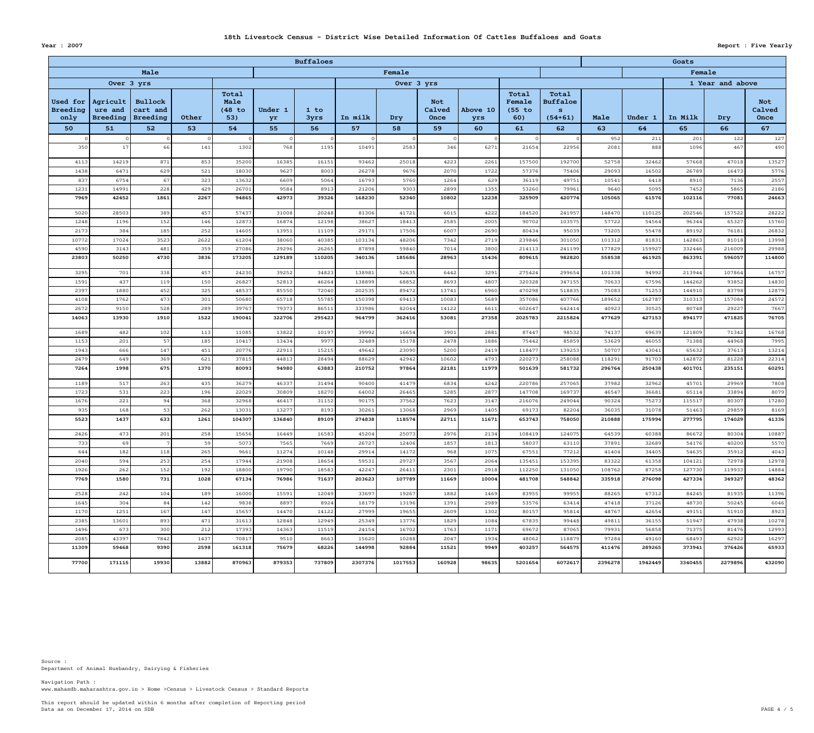Data as on December 17, 2014 on SDB PAGE  $4 / 5$ This report should be updated within 6 months after completion of Reporting period

www.mahasdb.maharashtra.gov.in > Home >Census > Livestock Census > Standard Reports Navigation Path :

|                              | <b>Buffaloes</b>                       |                                               |            |                                |                |                |                |                |                              |                 |                                    |                                             |                  | Goats          |                 |                 |                              |  |
|------------------------------|----------------------------------------|-----------------------------------------------|------------|--------------------------------|----------------|----------------|----------------|----------------|------------------------------|-----------------|------------------------------------|---------------------------------------------|------------------|----------------|-----------------|-----------------|------------------------------|--|
|                              |                                        | Male                                          |            |                                |                |                |                | Female         |                              |                 | Female                             |                                             |                  |                |                 |                 |                              |  |
|                              | Over 3 yrs                             |                                               |            |                                | Over 3 yrs     |                |                |                |                              |                 |                                    |                                             | 1 Year and above |                |                 |                 |                              |  |
| Used for<br>Breeding<br>only | Agricult<br>ure and<br><b>Breeding</b> | <b>Bullock</b><br>cart and<br><b>Breeding</b> | Other      | Total<br>Male<br>(48 to<br>53) | Under 1<br>yr  | 1 to<br>3yrs   | In milk        | Dry            | <b>Not</b><br>Calved<br>Once | Above 10<br>yrs | Total<br>Female<br>$(55$ to<br>60) | Total<br><b>Buffaloe</b><br>S.<br>$(54+61)$ | Male             | Under 1        | In Milk         | Dry             | <b>Not</b><br>Calved<br>Once |  |
| 50                           | 51                                     | 52                                            | 53         | 54                             | 55             | 56             | 57             | 58             | 59                           | 60              | 61                                 | 62                                          | 63               | 64             | 65              | 66              | 67                           |  |
|                              |                                        |                                               |            |                                |                |                |                |                |                              |                 |                                    |                                             | 952              | 211            | 201             | 122             | 127                          |  |
| 350                          | 17                                     | 66                                            | 141        | 1302                           | 768            | 1195           | 10491          | 2583           | 346                          | 6271            | 21654                              | 22956                                       | 2081             | 888            | 1096            | 467             | 490                          |  |
| 4113                         | 14219                                  | 871                                           | 853        | 35200                          | 16385          | 16151          | 93462          | 25018          | 4223                         | 2261            | 157500                             | 192700                                      | 52758            | 32462          | 57668           | 47018           | 13527                        |  |
| 1438                         | 6471                                   | 629                                           | 521        | 18030                          | 9627           | 8003           | 26278          | 9676           | 2070                         | 1722            | 57376                              | 75406                                       | 29093            | 16502          | 26789           | 16473           | 5776                         |  |
| 837                          | 6754                                   | 67                                            | 323        | 13632                          | 6609           | 5064           | 16793          | 5760           | 1264                         | 629             | 36119                              | 49751                                       | 10541            | 6418           | 8910            | 7136            | 2557                         |  |
| 1231                         | 14991                                  | 228                                           | 429        | 26701                          | 9584           | 8913           | 21206          | 9303           | 2899                         | 1355            | 53260                              | 79961                                       | 9640             | 5095           | 7452            | 5865            | 2186                         |  |
| 7969                         | 42452                                  | 1861                                          | 2267       | 94865                          | 42973          | 39326          | 168230         | 52340          | 10802                        | 12238           | 325909                             | 420774                                      | 105065           | 61576          | 102116          | 77081           | 24663                        |  |
| 5020                         | 28503                                  | 389                                           | 457        | 57437                          | 31008          | 20248          | 81306          | 41721          | 6015                         | 4222            | 184520                             | 241957                                      | 148470           | 110125         | 202546          | 157522          | 28222                        |  |
| 1248                         | 1196                                   | 152                                           | 146        | 12873                          | 16874          | 12198          | 38627          | 18413          | 2585                         | 2005            | 90702                              | 103575                                      | 57722            | 54564          | 96344           | 65327           | 15760                        |  |
| 2173                         | 384                                    | 185                                           | 252        | 14605                          | 13951          | 11109          | 29171          | 17506          | 6007                         | 2690            | 80434                              | 95039                                       | 73205            | 55478          | 89192           | 76181           | 26832                        |  |
| 10772                        | 17024                                  | 3523                                          | 2622       | 61204                          | 38060          | 40385          | 103134         | 48206          | 7342                         | 2719            | 239846                             | 301050                                      | 101312           | 81831          | 142863          | 81018           | 13998                        |  |
| 4590                         | 3143                                   | 481                                           | 359        | 27086                          | 29296          | 26265          | 87898          | 59840          | 7014                         | 3800            | 214113                             | 241199                                      | 177829           | 159927         | 332446          | 216009          | 29988                        |  |
| 23803                        | 50250                                  | 4730                                          | 3836       | 173205                         | 129189         | 110205         | 340136         | 185686         | 28963                        | 15436           | 809615                             | 982820                                      | 558538           | 461925         | 863391          | 596057          | 114800                       |  |
| 3295                         | 701                                    | 338                                           | 457        | 24230                          | 39252          | 34823          | 138981         | 52635          | 6442                         | 3291            | 275424                             | 299654                                      | 101338           | 94992          | 213944          | 107864          | 16757                        |  |
| 1591                         | 437                                    | 119                                           | 150        | 26827                          | 52813          | 46264          | 138899         | 68852          | 8693                         | 4807            | 320328                             | 347155                                      | 70633            | 67596          | 144262          | 93852           | 14830                        |  |
| 2397                         | 1880                                   | 452                                           | 325        | 48537                          | 85550          | 72040          | 202535         | 89472          | 13741                        | 6960            | 470298                             | 518835                                      | 75083            | 71253          | 144910          | 83798           | 12879                        |  |
| 4108                         | 1762                                   | 473                                           | 301        | 50680                          | 65718          | 55785          | 150398         | 69413          | 10083                        | 5689            | 357086                             | 407766                                      | 189652           | 162787         | 310313          | 157084          | 24572                        |  |
| 2672                         | 9150                                   | 528                                           | 289        | 39767                          | 79373          | 86511          | 333986         | 82044          | 14122                        | 6611            | 602647                             | 642414                                      | 40923            | 30525          | 80748           | 29227<br>471825 | 7667                         |  |
| 14063                        | 13930                                  | 1910                                          | 1522       | 190041                         | 322706         | 295423         | 964799         | 362416         | 53081                        | 27358           | 2025783                            | 2215824                                     | 477629           | 427153         | 894177          |                 | 76705                        |  |
| 1689                         | 482                                    | 102                                           | 113        | 11085                          | 13822          | 10197          | 39992          | 16654          | 3901                         | 2881            | 87447                              | 98532                                       | 74137            | 69639          | 121809          | 71342           | 16768                        |  |
| 1153                         | 201                                    | 57                                            | 185        | 10417                          | 13434          | 9977           | 32489          | 15178          | 2478                         | 1886            | 75442                              | 85859                                       | 53629            | 46055          | 71388           | 44968           | 7995                         |  |
| 1943                         | 666                                    | 147                                           | 451        | 20776                          | 22911          | 15215          | 49642          | 23090          | 5200                         | 2419            | 118477                             | 139253                                      | 50707            | 43041          | 65632           | 37613           | 13214                        |  |
| 2479                         | 649                                    | 369                                           | 621        | 37815                          | 44813          | 28494          | 88629          | 42942          | 10602                        | 4793            | 220273                             | 258088                                      | 118291           | 91703          | 142872          | 81228           | 22314                        |  |
| 7264                         | 1998                                   | 675                                           | 1370       | 80093                          | 94980          | 63883          | 210752         | 97864          | 22181                        | 11979           | 501639                             | 581732                                      | 296764           | 250438         | 401701          | 235151          | 60291                        |  |
| 1189                         | 517                                    | 263                                           | 435        | 36279                          | 46337          | 31494          | 90400          | 41479          | 6834                         | 4242            | 220786                             | 257065                                      | 37982            | 32962          | 45701           | 29969           | 7808                         |  |
| 1723                         | 531                                    | 223                                           | 196        | 22029                          | 30809          | 18270          | 64002          | 26465          | 5285                         | 2877            | 147708                             | 169737                                      | 46547            | 36681          | 65114           | 33894           | 8079                         |  |
| 1676                         | 221                                    | 94                                            | 368        | 32968                          | 46417          | 31152          | 90175          | 37562          | 7623                         | 3147            | 216076                             | 249044                                      | 90324            | 75273          | 115517          | 80307           | 17280                        |  |
| 935                          | 168                                    | 53                                            | 262        | 13031                          | 13277          | 8193           | 30261          | 13068          | 2969                         | 1405            | 69173                              | 82204                                       | 36035            | 31078          | 51463           | 29859           | 8169                         |  |
| 5523                         | 1437                                   | 633                                           | 1261       | 104307                         | 136840         | 89109          | 274838         | 118574         | 22711                        | 11671           | 653743                             | 758050                                      | 210888           | 175994         | 277795          | 174029          | 41336                        |  |
| 2426                         | 473                                    | 201                                           | 258        | 15656                          | 16449          | 16583          | 45204          | 25073          | 2976                         | 2134            | 108419                             | 124075                                      | 64539            | 60388          | 86672           | 80304           | 10887                        |  |
| 733                          | 69                                     |                                               | 59         | 5073                           | 7565           | 7669           | 26727          | 12406          | 1857                         | 1813            | 58037                              | 63110                                       | 37891            | 32689          | 54176           | 40200           | 5570                         |  |
| 644<br>2040                  | 182<br>594                             | 118<br>253                                    | 265<br>254 | 9661<br>17944                  | 11274<br>21908 | 10148<br>18654 | 29914<br>59531 | 14172<br>29727 | 968<br>3567                  | 1075<br>2064    | 67551                              | 77212<br>153395                             | 41404<br>83322   | 34405<br>61358 | 54635<br>104121 | 35912<br>72978  | 4043<br>12978                |  |
| 1926                         | 262                                    | 152                                           | 192        | 18800                          | 19790          | 18583          | 42247          | 26411          | 2301                         | 2918            | 135451<br>112250                   | 131050                                      | 108762           | 87258          | 127730          | 119933          | 14884                        |  |
| 7769                         | 1580                                   | 731                                           | 1028       | 67134                          | 76986          | 71637          | 203623         | 107789         | 11669                        | 10004           | 481708                             | 548842                                      | 335918           | 276098         | 427334          | 349327          | 48362                        |  |
| 2528                         | 242                                    | 104                                           | 189        | 16000                          | 15591          | 12049          | 33697          | 19267          | 1882                         | 1469            | 83955                              | 99955                                       | 88265            | 67312          | 84245           | 81935           | 11396                        |  |
| 1645                         | 304                                    | 84                                            | 142        | 9838                           | 8897           | 8924           | 18179          | 13196          | 1391                         | 2989            | 53576                              | 63414                                       | 47418            | 37126          | 48730           | 50245           | 6046                         |  |
| 1170                         | 1251                                   | 167                                           | 147        | 15657                          | 14470          | 14122          | 27999          | 19655          | 2609                         | 1302            | 80157                              | 95814                                       | 48767            | 42654          | 49151           | 51910           | 8923                         |  |
| 2385                         | 13601                                  | 893                                           | 471        | 31613                          | 12848          | 12949          | 25349          | 13776          | 1829                         | 1084            | 67835                              | 99448                                       | 49811            | 36155          | 51947           | 47938           | 10278                        |  |
| 1496                         | 673                                    | 300                                           | 212        | 17393                          | 14363          | 11519          | 24154          | 16702          | 1763                         | 1171            | 69672                              | 87065                                       | 79931            | 56858          | 71375           | 81476           | 12993                        |  |
| 2085                         | 43397                                  | 7842                                          | 1437       | 70817                          | 9510           | 8663           | 15620          | 10288          | 2047                         | 1934            | 48062                              | 118879                                      | 97284            | 49160          | 68493           | 62922           | 16297                        |  |
| 11309                        | 59468                                  | 9390                                          | 2598       | 161318                         | 75679          | 68226          | 144998         | 92884          | 11521                        | 9949            | 403257                             | 564575                                      | 411476           | 289265         | 373941          | 376426          | 65933                        |  |
| 77700                        | 171115                                 | 19930                                         | 13882      | 870963                         | 879353         | 737809         | 2307376        | 1017553        | 160928                       | 98635           | 5201654                            | 6072617                                     | 2396278          | 1942449        | 3340455         | 2279896         | 432090                       |  |